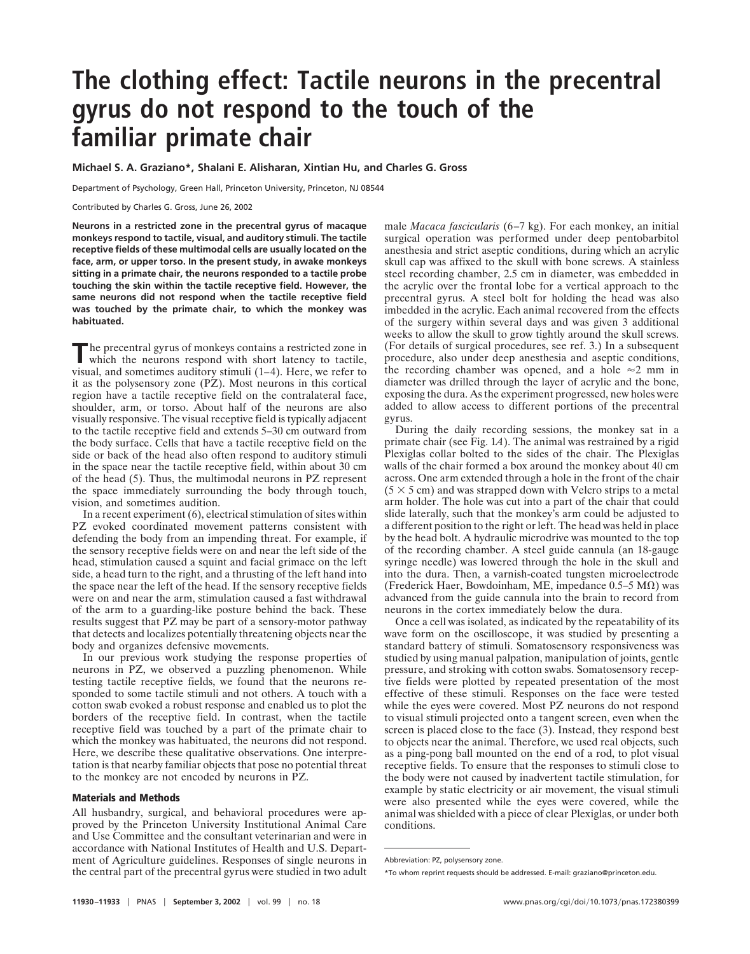## **The clothing effect: Tactile neurons in the precentral gyrus do not respond to the touch of the familiar primate chair**

**Michael S. A. Graziano\*, Shalani E. Alisharan, Xintian Hu, and Charles G. Gross**

Department of Psychology, Green Hall, Princeton University, Princeton, NJ 08544

Contributed by Charles G. Gross, June 26, 2002

**Neurons in a restricted zone in the precentral gyrus of macaque monkeys respond to tactile, visual, and auditory stimuli. The tactile receptive fields of these multimodal cells are usually located on the face, arm, or upper torso. In the present study, in awake monkeys sitting in a primate chair, the neurons responded to a tactile probe touching the skin within the tactile receptive field. However, the same neurons did not respond when the tactile receptive field was touched by the primate chair, to which the monkey was habituated.**

The precentral gyrus of monkeys contains a restricted zone in which the neurons respond with short latency to tactile, visual, and sometimes auditory stimuli (1–4). Here, we refer to it as the polysensory zone (PZ). Most neurons in this cortical region have a tactile receptive field on the contralateral face, shoulder, arm, or torso. About half of the neurons are also visually responsive. The visual receptive field is typically adjacent to the tactile receptive field and extends 5–30 cm outward from the body surface. Cells that have a tactile receptive field on the side or back of the head also often respond to auditory stimuli in the space near the tactile receptive field, within about 30 cm of the head (5). Thus, the multimodal neurons in PZ represent the space immediately surrounding the body through touch, vision, and sometimes audition.

In a recent experiment (6), electrical stimulation of sites within PZ evoked coordinated movement patterns consistent with defending the body from an impending threat. For example, if the sensory receptive fields were on and near the left side of the head, stimulation caused a squint and facial grimace on the left side, a head turn to the right, and a thrusting of the left hand into the space near the left of the head. If the sensory receptive fields were on and near the arm, stimulation caused a fast withdrawal of the arm to a guarding-like posture behind the back. These results suggest that PZ may be part of a sensory-motor pathway that detects and localizes potentially threatening objects near the body and organizes defensive movements.

In our previous work studying the response properties of neurons in PZ, we observed a puzzling phenomenon. While testing tactile receptive fields, we found that the neurons responded to some tactile stimuli and not others. A touch with a cotton swab evoked a robust response and enabled us to plot the borders of the receptive field. In contrast, when the tactile receptive field was touched by a part of the primate chair to which the monkey was habituated, the neurons did not respond. Here, we describe these qualitative observations. One interpretation is that nearby familiar objects that pose no potential threat to the monkey are not encoded by neurons in PZ.

## **Materials and Methods**

All husbandry, surgical, and behavioral procedures were approved by the Princeton University Institutional Animal Care and Use Committee and the consultant veterinarian and were in accordance with National Institutes of Health and U.S. Department of Agriculture guidelines. Responses of single neurons in the central part of the precentral gyrus were studied in two adult male *Macaca fascicularis* (6–7 kg). For each monkey, an initial surgical operation was performed under deep pentobarbitol anesthesia and strict aseptic conditions, during which an acrylic skull cap was affixed to the skull with bone screws. A stainless steel recording chamber, 2.5 cm in diameter, was embedded in the acrylic over the frontal lobe for a vertical approach to the precentral gyrus. A steel bolt for holding the head was also imbedded in the acrylic. Each animal recovered from the effects of the surgery within several days and was given 3 additional weeks to allow the skull to grow tightly around the skull screws. (For details of surgical procedures, see ref. 3.) In a subsequent procedure, also under deep anesthesia and aseptic conditions, the recording chamber was opened, and a hole  $\approx 2$  mm in diameter was drilled through the layer of acrylic and the bone, exposing the dura. As the experiment progressed, new holes were added to allow access to different portions of the precentral gyrus.

During the daily recording sessions, the monkey sat in a primate chair (see Fig. 1*A*). The animal was restrained by a rigid Plexiglas collar bolted to the sides of the chair. The Plexiglas walls of the chair formed a box around the monkey about 40 cm across. One arm extended through a hole in the front of the chair  $(5 \times 5$  cm) and was strapped down with Velcro strips to a metal arm holder. The hole was cut into a part of the chair that could slide laterally, such that the monkey's arm could be adjusted to a different position to the right or left. The head was held in place by the head bolt. A hydraulic microdrive was mounted to the top of the recording chamber. A steel guide cannula (an 18-gauge syringe needle) was lowered through the hole in the skull and into the dura. Then, a varnish-coated tungsten microelectrode (Frederick Haer, Bowdoinham, ME, impedance  $0.5-5$  M $\Omega$ ) was advanced from the guide cannula into the brain to record from neurons in the cortex immediately below the dura.

Once a cell was isolated, as indicated by the repeatability of its wave form on the oscilloscope, it was studied by presenting a standard battery of stimuli. Somatosensory responsiveness was studied by using manual palpation, manipulation of joints, gentle pressure, and stroking with cotton swabs. Somatosensory receptive fields were plotted by repeated presentation of the most effective of these stimuli. Responses on the face were tested while the eyes were covered. Most PZ neurons do not respond to visual stimuli projected onto a tangent screen, even when the screen is placed close to the face (3). Instead, they respond best to objects near the animal. Therefore, we used real objects, such as a ping-pong ball mounted on the end of a rod, to plot visual receptive fields. To ensure that the responses to stimuli close to the body were not caused by inadvertent tactile stimulation, for example by static electricity or air movement, the visual stimuli were also presented while the eyes were covered, while the animal was shielded with a piece of clear Plexiglas, or under both conditions.

Abbreviation: PZ, polysensory zone.

<sup>\*</sup>To whom reprint requests should be addressed. E-mail: graziano@princeton.edu.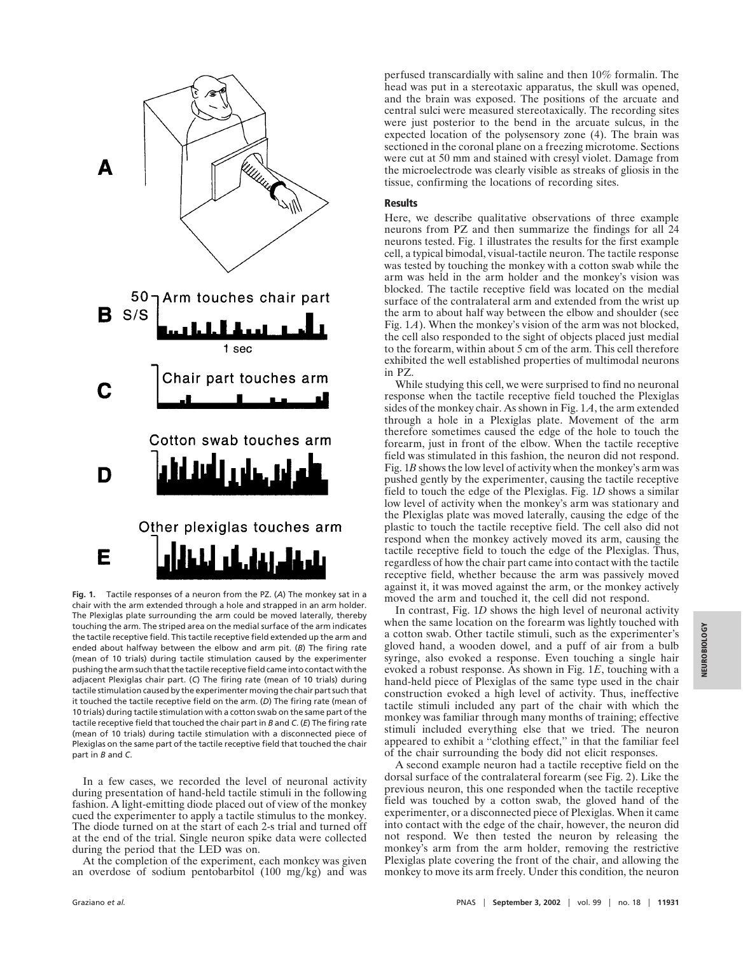

**Fig. 1.** Tactile responses of a neuron from the PZ. (*A*) The monkey sat in a chair with the arm extended through a hole and strapped in an arm holder. The Plexiglas plate surrounding the arm could be moved laterally, thereby touching the arm. The striped area on the medial surface of the arm indicates the tactile receptive field. This tactile receptive field extended up the arm and ended about halfway between the elbow and arm pit. (*B*) The firing rate (mean of 10 trials) during tactile stimulation caused by the experimenter pushing the arm such that the tactile receptive field came into contact with the adjacent Plexiglas chair part. (*C*) The firing rate (mean of 10 trials) during tactile stimulation caused by the experimenter moving the chair part such that it touched the tactile receptive field on the arm. (*D*) The firing rate (mean of 10 trials) during tactile stimulation with a cotton swab on the same part of the tactile receptive field that touched the chair part in *B* and *C*. (*E*) The firing rate (mean of 10 trials) during tactile stimulation with a disconnected piece of Plexiglas on the same part of the tactile receptive field that touched the chair part in *B* and *C*.

In a few cases, we recorded the level of neuronal activity during presentation of hand-held tactile stimuli in the following fashion. A light-emitting diode placed out of view of the monkey cued the experimenter to apply a tactile stimulus to the monkey. The diode turned on at the start of each 2-s trial and turned off at the end of the trial. Single neuron spike data were collected during the period that the LED was on.

At the completion of the experiment, each monkey was given an overdose of sodium pentobarbitol  $(100 \text{ mg/kg})$  and was

perfused transcardially with saline and then 10% formalin. The head was put in a stereotaxic apparatus, the skull was opened, and the brain was exposed. The positions of the arcuate and central sulci were measured stereotaxically. The recording sites were just posterior to the bend in the arcuate sulcus, in the expected location of the polysensory zone (4). The brain was sectioned in the coronal plane on a freezing microtome. Sections were cut at 50 mm and stained with cresyl violet. Damage from the microelectrode was clearly visible as streaks of gliosis in the tissue, confirming the locations of recording sites.

## **Results**

Here, we describe qualitative observations of three example neurons from PZ and then summarize the findings for all 24 neurons tested. Fig. 1 illustrates the results for the first example cell, a typical bimodal, visual-tactile neuron. The tactile response was tested by touching the monkey with a cotton swab while the arm was held in the arm holder and the monkey's vision was blocked. The tactile receptive field was located on the medial surface of the contralateral arm and extended from the wrist up the arm to about half way between the elbow and shoulder (see Fig. 1*A*). When the monkey's vision of the arm was not blocked, the cell also responded to the sight of objects placed just medial to the forearm, within about 5 cm of the arm. This cell therefore exhibited the well established properties of multimodal neurons in PZ.

While studying this cell, we were surprised to find no neuronal response when the tactile receptive field touched the Plexiglas sides of the monkey chair. As shown in Fig. 1*A*, the arm extended through a hole in a Plexiglas plate. Movement of the arm therefore sometimes caused the edge of the hole to touch the forearm, just in front of the elbow. When the tactile receptive field was stimulated in this fashion, the neuron did not respond. Fig. 1*B* shows the low level of activity when the monkey's arm was pushed gently by the experimenter, causing the tactile receptive field to touch the edge of the Plexiglas. Fig. 1*D* shows a similar low level of activity when the monkey's arm was stationary and the Plexiglas plate was moved laterally, causing the edge of the plastic to touch the tactile receptive field. The cell also did not respond when the monkey actively moved its arm, causing the tactile receptive field to touch the edge of the Plexiglas. Thus, regardless of how the chair part came into contact with the tactile receptive field, whether because the arm was passively moved against it, it was moved against the arm, or the monkey actively moved the arm and touched it, the cell did not respond.

In contrast, Fig. 1*D* shows the high level of neuronal activity when the same location on the forearm was lightly touched with a cotton swab. Other tactile stimuli, such as the experimenter's gloved hand, a wooden dowel, and a puff of air from a bulb syringe, also evoked a response. Even touching a single hair evoked a robust response. As shown in Fig. 1*E*, touching with a hand-held piece of Plexiglas of the same type used in the chair construction evoked a high level of activity. Thus, ineffective tactile stimuli included any part of the chair with which the monkey was familiar through many months of training; effective stimuli included everything else that we tried. The neuron appeared to exhibit a ''clothing effect,'' in that the familiar feel of the chair surrounding the body did not elicit responses.

A second example neuron had a tactile receptive field on the dorsal surface of the contralateral forearm (see Fig. 2). Like the previous neuron, this one responded when the tactile receptive field was touched by a cotton swab, the gloved hand of the experimenter, or a disconnected piece of Plexiglas. When it came into contact with the edge of the chair, however, the neuron did not respond. We then tested the neuron by releasing the monkey's arm from the arm holder, removing the restrictive Plexiglas plate covering the front of the chair, and allowing the monkey to move its arm freely. Under this condition, the neuron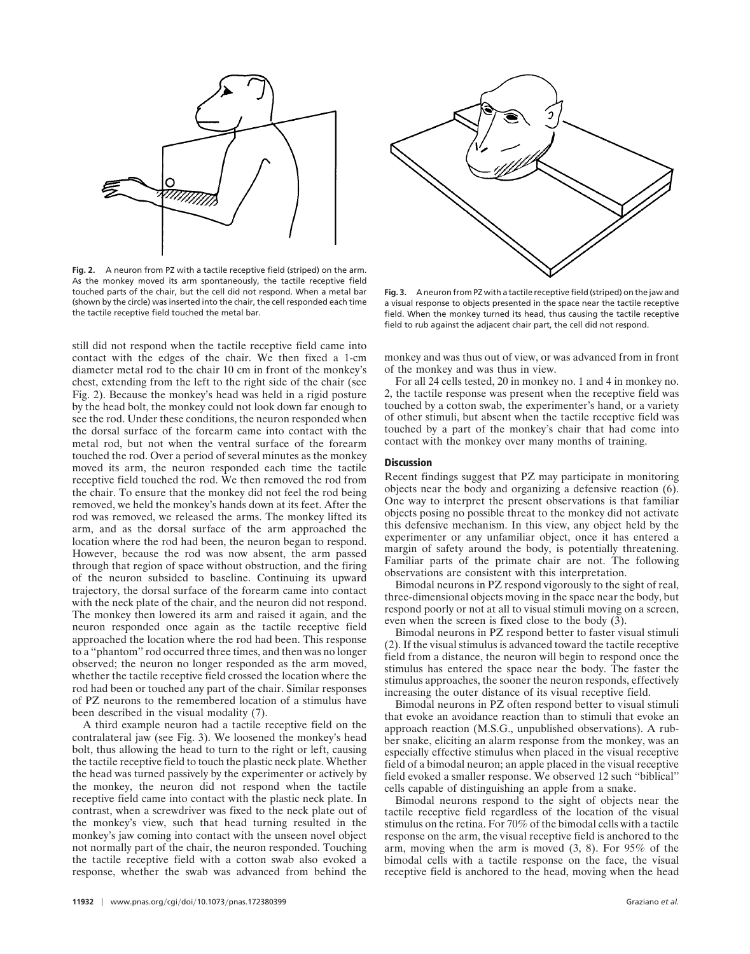

**Fig. 2.** A neuron from PZ with a tactile receptive field (striped) on the arm. As the monkey moved its arm spontaneously, the tactile receptive field touched parts of the chair, but the cell did not respond. When a metal bar (shown by the circle) was inserted into the chair, the cell responded each time the tactile receptive field touched the metal bar.

still did not respond when the tactile receptive field came into contact with the edges of the chair. We then fixed a 1-cm diameter metal rod to the chair 10 cm in front of the monkey's chest, extending from the left to the right side of the chair (see Fig. 2). Because the monkey's head was held in a rigid posture by the head bolt, the monkey could not look down far enough to see the rod. Under these conditions, the neuron responded when the dorsal surface of the forearm came into contact with the metal rod, but not when the ventral surface of the forearm touched the rod. Over a period of several minutes as the monkey moved its arm, the neuron responded each time the tactile receptive field touched the rod. We then removed the rod from the chair. To ensure that the monkey did not feel the rod being removed, we held the monkey's hands down at its feet. After the rod was removed, we released the arms. The monkey lifted its arm, and as the dorsal surface of the arm approached the location where the rod had been, the neuron began to respond. However, because the rod was now absent, the arm passed through that region of space without obstruction, and the firing of the neuron subsided to baseline. Continuing its upward trajectory, the dorsal surface of the forearm came into contact with the neck plate of the chair, and the neuron did not respond. The monkey then lowered its arm and raised it again, and the neuron responded once again as the tactile receptive field approached the location where the rod had been. This response to a ''phantom'' rod occurred three times, and then was no longer observed; the neuron no longer responded as the arm moved, whether the tactile receptive field crossed the location where the rod had been or touched any part of the chair. Similar responses of PZ neurons to the remembered location of a stimulus have been described in the visual modality (7).

A third example neuron had a tactile receptive field on the contralateral jaw (see Fig. 3). We loosened the monkey's head bolt, thus allowing the head to turn to the right or left, causing the tactile receptive field to touch the plastic neck plate. Whether the head was turned passively by the experimenter or actively by the monkey, the neuron did not respond when the tactile receptive field came into contact with the plastic neck plate. In contrast, when a screwdriver was fixed to the neck plate out of the monkey's view, such that head turning resulted in the monkey's jaw coming into contact with the unseen novel object not normally part of the chair, the neuron responded. Touching the tactile receptive field with a cotton swab also evoked a response, whether the swab was advanced from behind the



Fig. 3. A neuron from PZ with a tactile receptive field (striped) on the jaw and a visual response to objects presented in the space near the tactile receptive field. When the monkey turned its head, thus causing the tactile receptive field to rub against the adjacent chair part, the cell did not respond.

monkey and was thus out of view, or was advanced from in front of the monkey and was thus in view.

For all 24 cells tested, 20 in monkey no. 1 and 4 in monkey no. 2, the tactile response was present when the receptive field was touched by a cotton swab, the experimenter's hand, or a variety of other stimuli, but absent when the tactile receptive field was touched by a part of the monkey's chair that had come into contact with the monkey over many months of training.

## **Discussion**

Recent findings suggest that PZ may participate in monitoring objects near the body and organizing a defensive reaction (6). One way to interpret the present observations is that familiar objects posing no possible threat to the monkey did not activate this defensive mechanism. In this view, any object held by the experimenter or any unfamiliar object, once it has entered a margin of safety around the body, is potentially threatening. Familiar parts of the primate chair are not. The following observations are consistent with this interpretation.

Bimodal neurons in PZ respond vigorously to the sight of real, three-dimensional objects moving in the space near the body, but respond poorly or not at all to visual stimuli moving on a screen, even when the screen is fixed close to the body (3).

Bimodal neurons in PZ respond better to faster visual stimuli (2). If the visual stimulus is advanced toward the tactile receptive field from a distance, the neuron will begin to respond once the stimulus has entered the space near the body. The faster the stimulus approaches, the sooner the neuron responds, effectively increasing the outer distance of its visual receptive field.

Bimodal neurons in PZ often respond better to visual stimuli that evoke an avoidance reaction than to stimuli that evoke an approach reaction (M.S.G., unpublished observations). A rubber snake, eliciting an alarm response from the monkey, was an especially effective stimulus when placed in the visual receptive field of a bimodal neuron; an apple placed in the visual receptive field evoked a smaller response. We observed 12 such ''biblical'' cells capable of distinguishing an apple from a snake.

Bimodal neurons respond to the sight of objects near the tactile receptive field regardless of the location of the visual stimulus on the retina. For 70% of the bimodal cells with a tactile response on the arm, the visual receptive field is anchored to the arm, moving when the arm is moved (3, 8). For 95% of the bimodal cells with a tactile response on the face, the visual receptive field is anchored to the head, moving when the head